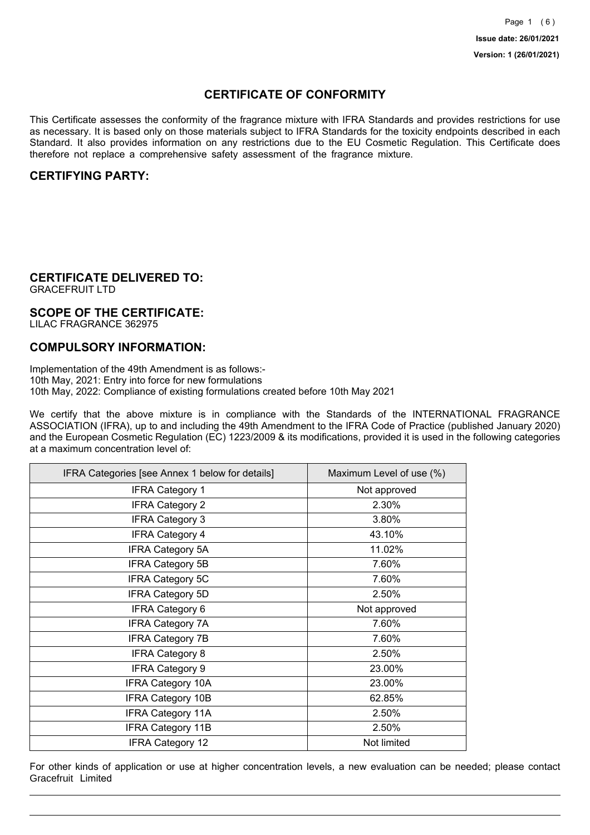## **CERTIFICATE OF CONFORMITY**

This Certificate assesses the conformity of the fragrance mixture with IFRA Standards and provides restrictions for use as necessary. It is based only on those materials subject to IFRA Standards for the toxicity endpoints described in each Standard. It also provides information on any restrictions due to the EU Cosmetic Regulation. This Certificate does therefore not replace a comprehensive safety assessment of the fragrance mixture.

## **CERTIFYING PARTY:**

## **CERTIFICATE DELIVERED TO:**

GRACEFRUIT LTD

### **SCOPE OF THE CERTIFICATE:**

LILAC FRAGRANCE 362975

### **COMPULSORY INFORMATION:**

Implementation of the 49th Amendment is as follows:- 10th May, 2021: Entry into force for new formulations 10th May, 2022: Compliance of existing formulations created before 10th May 2021

We certify that the above mixture is in compliance with the Standards of the INTERNATIONAL FRAGRANCE ASSOCIATION (IFRA), up to and including the 49th Amendment to the IFRA Code of Practice (published January 2020) and the European Cosmetic Regulation (EC) 1223/2009 & its modifications, provided it is used in the following categories at a maximum concentration level of:

| IFRA Categories [see Annex 1 below for details] | Maximum Level of use (%) |
|-------------------------------------------------|--------------------------|
| <b>IFRA Category 1</b>                          | Not approved             |
| <b>IFRA Category 2</b>                          | 2.30%                    |
| <b>IFRA Category 3</b>                          | 3.80%                    |
| <b>IFRA Category 4</b>                          | 43.10%                   |
| <b>IFRA Category 5A</b>                         | 11.02%                   |
| <b>IFRA Category 5B</b>                         | 7.60%                    |
| <b>IFRA Category 5C</b>                         | 7.60%                    |
| <b>IFRA Category 5D</b>                         | 2.50%                    |
| <b>IFRA Category 6</b>                          | Not approved             |
| <b>IFRA Category 7A</b>                         | 7.60%                    |
| <b>IFRA Category 7B</b>                         | 7.60%                    |
| <b>IFRA Category 8</b>                          | 2.50%                    |
| <b>IFRA Category 9</b>                          | 23.00%                   |
| <b>IFRA Category 10A</b>                        | 23.00%                   |
| <b>IFRA Category 10B</b>                        | 62.85%                   |
| <b>IFRA Category 11A</b>                        | 2.50%                    |
| <b>IFRA Category 11B</b>                        | 2.50%                    |
| <b>IFRA Category 12</b>                         | Not limited              |

For other kinds of application or use at higher concentration levels, a new evaluation can be needed; please contact Gracefruit Limited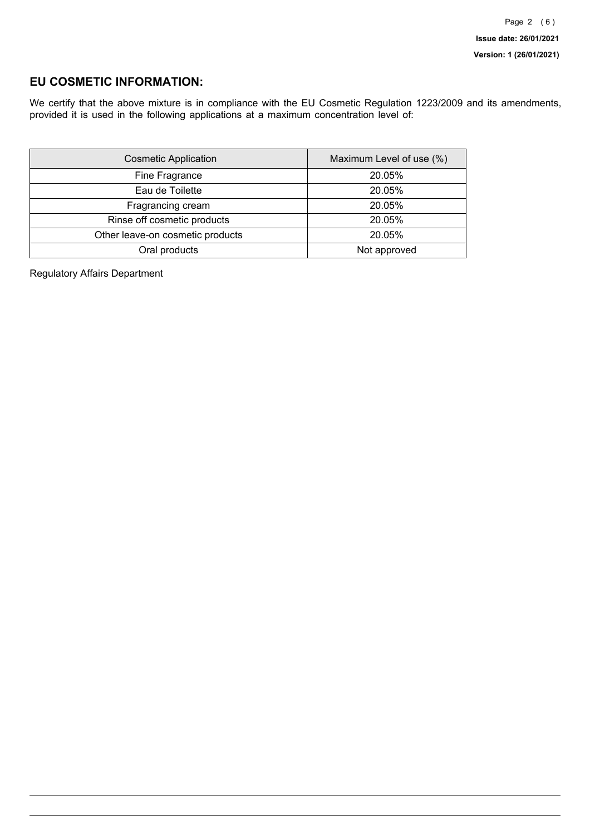## **EU COSMETIC INFORMATION:**

We certify that the above mixture is in compliance with the EU Cosmetic Regulation 1223/2009 and its amendments, provided it is used in the following applications at a maximum concentration level of:

| <b>Cosmetic Application</b>      | Maximum Level of use (%) |
|----------------------------------|--------------------------|
| Fine Fragrance                   | 20.05%                   |
| Eau de Toilette                  | 20.05%                   |
| Fragrancing cream                | 20.05%                   |
| Rinse off cosmetic products      | 20.05%                   |
| Other leave-on cosmetic products | 20.05%                   |
| Oral products                    | Not approved             |

Regulatory Affairs Department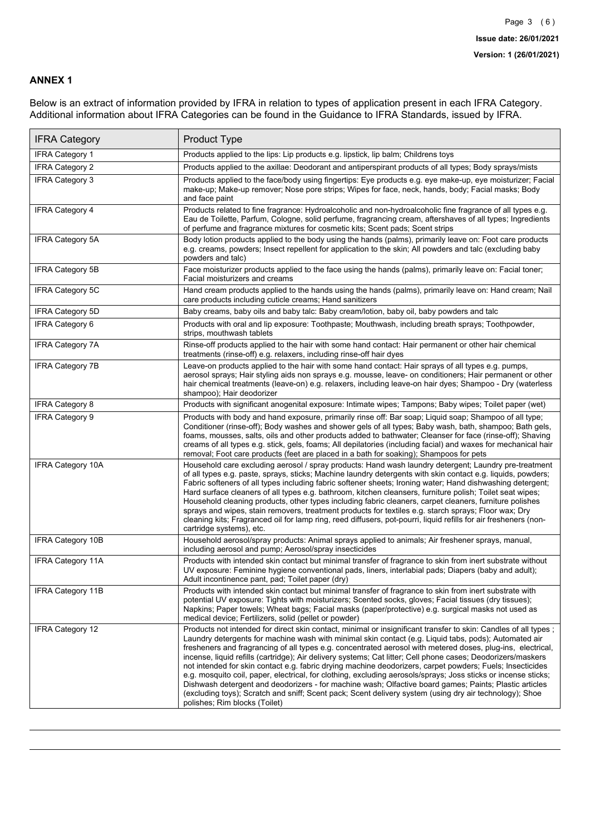### **ANNEX 1**

Below is an extract of information provided by IFRA in relation to types of application present in each IFRA Category. Additional information about IFRA Categories can be found in the Guidance to IFRA Standards, issued by IFRA.

| <b>IFRA Category</b>     | Product Type                                                                                                                                                                                                                                                                                                                                                                                                                                                                                                                                                                                                                                                                                                                                                                                                                                                                                                                                 |
|--------------------------|----------------------------------------------------------------------------------------------------------------------------------------------------------------------------------------------------------------------------------------------------------------------------------------------------------------------------------------------------------------------------------------------------------------------------------------------------------------------------------------------------------------------------------------------------------------------------------------------------------------------------------------------------------------------------------------------------------------------------------------------------------------------------------------------------------------------------------------------------------------------------------------------------------------------------------------------|
| IFRA Category 1          | Products applied to the lips: Lip products e.g. lipstick, lip balm; Childrens toys                                                                                                                                                                                                                                                                                                                                                                                                                                                                                                                                                                                                                                                                                                                                                                                                                                                           |
| <b>IFRA Category 2</b>   | Products applied to the axillae: Deodorant and antiperspirant products of all types; Body sprays/mists                                                                                                                                                                                                                                                                                                                                                                                                                                                                                                                                                                                                                                                                                                                                                                                                                                       |
| <b>IFRA Category 3</b>   | Products applied to the face/body using fingertips: Eye products e.g. eye make-up, eye moisturizer; Facial<br>make-up; Make-up remover; Nose pore strips; Wipes for face, neck, hands, body; Facial masks; Body<br>and face paint                                                                                                                                                                                                                                                                                                                                                                                                                                                                                                                                                                                                                                                                                                            |
| <b>IFRA Category 4</b>   | Products related to fine fragrance: Hydroalcoholic and non-hydroalcoholic fine fragrance of all types e.g.<br>Eau de Toilette, Parfum, Cologne, solid perfume, fragrancing cream, aftershaves of all types; Ingredients<br>of perfume and fragrance mixtures for cosmetic kits; Scent pads; Scent strips                                                                                                                                                                                                                                                                                                                                                                                                                                                                                                                                                                                                                                     |
| <b>IFRA Category 5A</b>  | Body lotion products applied to the body using the hands (palms), primarily leave on: Foot care products<br>e.g. creams, powders; Insect repellent for application to the skin; All powders and talc (excluding baby<br>powders and talc)                                                                                                                                                                                                                                                                                                                                                                                                                                                                                                                                                                                                                                                                                                    |
| IFRA Category 5B         | Face moisturizer products applied to the face using the hands (palms), primarily leave on: Facial toner;<br>Facial moisturizers and creams                                                                                                                                                                                                                                                                                                                                                                                                                                                                                                                                                                                                                                                                                                                                                                                                   |
| <b>IFRA Category 5C</b>  | Hand cream products applied to the hands using the hands (palms), primarily leave on: Hand cream; Nail<br>care products including cuticle creams; Hand sanitizers                                                                                                                                                                                                                                                                                                                                                                                                                                                                                                                                                                                                                                                                                                                                                                            |
| <b>IFRA Category 5D</b>  | Baby creams, baby oils and baby talc: Baby cream/lotion, baby oil, baby powders and talc                                                                                                                                                                                                                                                                                                                                                                                                                                                                                                                                                                                                                                                                                                                                                                                                                                                     |
| IFRA Category 6          | Products with oral and lip exposure: Toothpaste; Mouthwash, including breath sprays; Toothpowder,<br>strips, mouthwash tablets                                                                                                                                                                                                                                                                                                                                                                                                                                                                                                                                                                                                                                                                                                                                                                                                               |
| <b>IFRA Category 7A</b>  | Rinse-off products applied to the hair with some hand contact: Hair permanent or other hair chemical<br>treatments (rinse-off) e.g. relaxers, including rinse-off hair dyes                                                                                                                                                                                                                                                                                                                                                                                                                                                                                                                                                                                                                                                                                                                                                                  |
| <b>IFRA Category 7B</b>  | Leave-on products applied to the hair with some hand contact: Hair sprays of all types e.g. pumps,<br>aerosol sprays; Hair styling aids non sprays e.g. mousse, leave- on conditioners; Hair permanent or other<br>hair chemical treatments (leave-on) e.g. relaxers, including leave-on hair dyes; Shampoo - Dry (waterless<br>shampoo); Hair deodorizer                                                                                                                                                                                                                                                                                                                                                                                                                                                                                                                                                                                    |
| <b>IFRA Category 8</b>   | Products with significant anogenital exposure: Intimate wipes; Tampons; Baby wipes; Toilet paper (wet)                                                                                                                                                                                                                                                                                                                                                                                                                                                                                                                                                                                                                                                                                                                                                                                                                                       |
| IFRA Category 9          | Products with body and hand exposure, primarily rinse off: Bar soap; Liquid soap; Shampoo of all type;<br>Conditioner (rinse-off); Body washes and shower gels of all types; Baby wash, bath, shampoo; Bath gels,<br>foams, mousses, salts, oils and other products added to bathwater; Cleanser for face (rinse-off); Shaving<br>creams of all types e.g. stick, gels, foams; All depilatories (including facial) and waxes for mechanical hair<br>removal; Foot care products (feet are placed in a bath for soaking); Shampoos for pets                                                                                                                                                                                                                                                                                                                                                                                                   |
| <b>IFRA Category 10A</b> | Household care excluding aerosol / spray products: Hand wash laundry detergent; Laundry pre-treatment<br>of all types e.g. paste, sprays, sticks; Machine laundry detergents with skin contact e.g. liquids, powders;<br>Fabric softeners of all types including fabric softener sheets; Ironing water; Hand dishwashing detergent;<br>Hard surface cleaners of all types e.g. bathroom, kitchen cleansers, furniture polish; Toilet seat wipes;<br>Household cleaning products, other types including fabric cleaners, carpet cleaners, furniture polishes<br>sprays and wipes, stain removers, treatment products for textiles e.g. starch sprays; Floor wax; Dry<br>cleaning kits; Fragranced oil for lamp ring, reed diffusers, pot-pourri, liquid refills for air fresheners (non-<br>cartridge systems), etc.                                                                                                                          |
| <b>IFRA Category 10B</b> | Household aerosol/spray products: Animal sprays applied to animals; Air freshener sprays, manual,<br>including aerosol and pump; Aerosol/spray insecticides                                                                                                                                                                                                                                                                                                                                                                                                                                                                                                                                                                                                                                                                                                                                                                                  |
| <b>IFRA Category 11A</b> | Products with intended skin contact but minimal transfer of fragrance to skin from inert substrate without<br>UV exposure: Feminine hygiene conventional pads, liners, interlabial pads; Diapers (baby and adult);<br>Adult incontinence pant, pad; Toilet paper (dry)                                                                                                                                                                                                                                                                                                                                                                                                                                                                                                                                                                                                                                                                       |
| <b>IFRA Category 11B</b> | Products with intended skin contact but minimal transfer of fragrance to skin from inert substrate with<br>potential UV exposure: Tights with moisturizers; Scented socks, gloves; Facial tissues (dry tissues);<br>Napkins; Paper towels; Wheat bags; Facial masks (paper/protective) e.g. surgical masks not used as<br>medical device; Fertilizers, solid (pellet or powder)                                                                                                                                                                                                                                                                                                                                                                                                                                                                                                                                                              |
| <b>IFRA Category 12</b>  | Products not intended for direct skin contact, minimal or insignificant transfer to skin: Candles of all types;<br>Laundry detergents for machine wash with minimal skin contact (e.g. Liquid tabs, pods); Automated air<br>fresheners and fragrancing of all types e.g. concentrated aerosol with metered doses, plug-ins, electrical,<br>incense, liquid refills (cartridge); Air delivery systems; Cat litter; Cell phone cases; Deodorizers/maskers<br>not intended for skin contact e.g. fabric drying machine deodorizers, carpet powders; Fuels; Insecticides<br>e.g. mosquito coil, paper, electrical, for clothing, excluding aerosols/sprays; Joss sticks or incense sticks;<br>Dishwash detergent and deodorizers - for machine wash; Olfactive board games; Paints; Plastic articles<br>(excluding toys); Scratch and sniff; Scent pack; Scent delivery system (using dry air technology); Shoe<br>polishes; Rim blocks (Toilet) |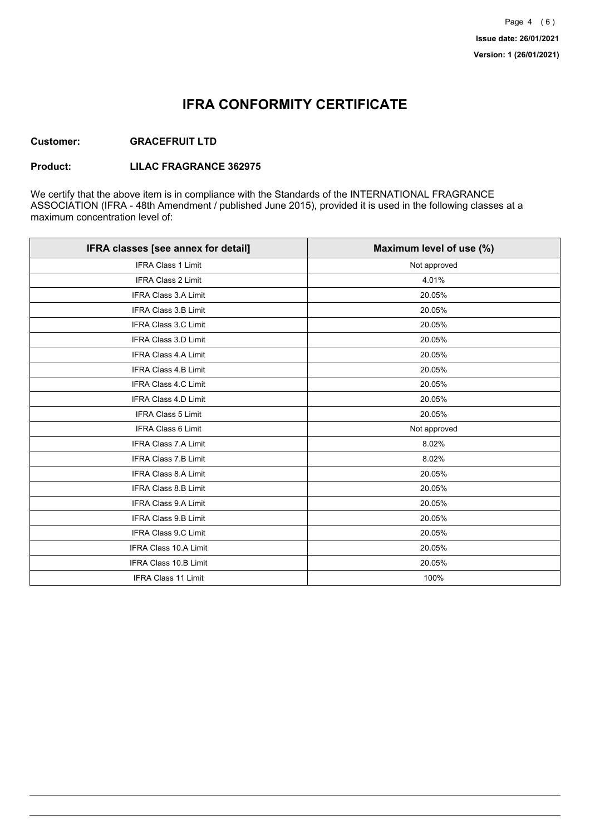## **IFRA CONFORMITY CERTIFICATE**

### **Customer: GRACEFRUIT LTD**

#### **Product: LILAC FRAGRANCE 362975**

We certify that the above item is in compliance with the Standards of the INTERNATIONAL FRAGRANCE ASSOCIATION (IFRA - 48th Amendment / published June 2015), provided it is used in the following classes at a maximum concentration level of:

| IFRA classes [see annex for detail] | Maximum level of use (%) |
|-------------------------------------|--------------------------|
| <b>IFRA Class 1 Limit</b>           | Not approved             |
| <b>IFRA Class 2 Limit</b>           | 4.01%                    |
| <b>IFRA Class 3.A Limit</b>         | 20.05%                   |
| <b>IFRA Class 3.B Limit</b>         | 20.05%                   |
| <b>IFRA Class 3.C Limit</b>         | 20.05%                   |
| IFRA Class 3.D Limit                | 20.05%                   |
| <b>IFRA Class 4.A Limit</b>         | 20.05%                   |
| <b>IFRA Class 4.B Limit</b>         | 20.05%                   |
| <b>IFRA Class 4.C Limit</b>         | 20.05%                   |
| <b>IFRA Class 4.D Limit</b>         | 20.05%                   |
| <b>IFRA Class 5 Limit</b>           | 20.05%                   |
| <b>IFRA Class 6 Limit</b>           | Not approved             |
| <b>IFRA Class 7.A Limit</b>         | 8.02%                    |
| <b>IFRA Class 7.B Limit</b>         | 8.02%                    |
| <b>IFRA Class 8.A Limit</b>         | 20.05%                   |
| <b>IFRA Class 8.B Limit</b>         | 20.05%                   |
| IFRA Class 9.A Limit                | 20.05%                   |
| IFRA Class 9.B Limit                | 20.05%                   |
| <b>IFRA Class 9.C Limit</b>         | 20.05%                   |
| <b>IFRA Class 10.A Limit</b>        | 20.05%                   |
| IFRA Class 10.B Limit               | 20.05%                   |
| <b>IFRA Class 11 Limit</b>          | 100%                     |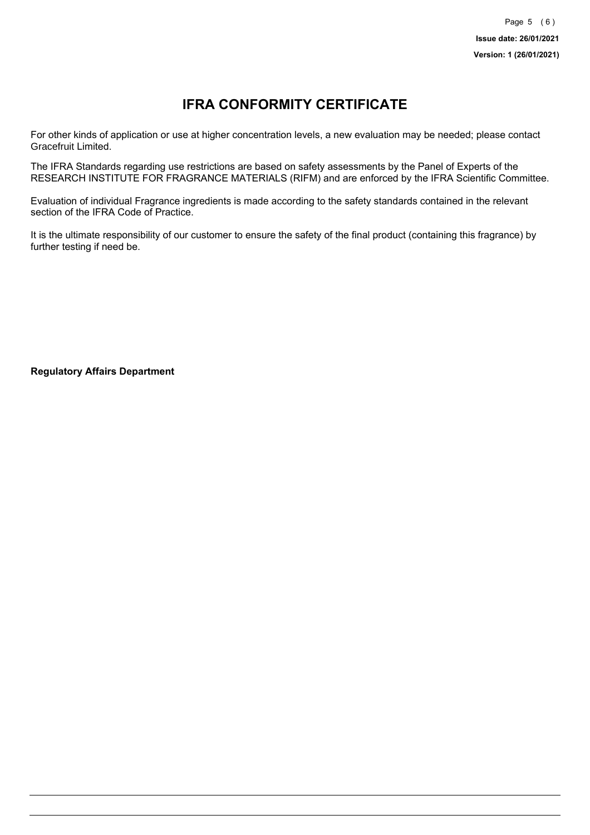# **IFRA CONFORMITY CERTIFICATE**

For other kinds of application or use at higher concentration levels, a new evaluation may be needed; please contact Gracefruit Limited.

The IFRA Standards regarding use restrictions are based on safety assessments by the Panel of Experts of the RESEARCH INSTITUTE FOR FRAGRANCE MATERIALS (RIFM) and are enforced by the IFRA Scientific Committee.

Evaluation of individual Fragrance ingredients is made according to the safety standards contained in the relevant section of the IFRA Code of Practice.

It is the ultimate responsibility of our customer to ensure the safety of the final product (containing this fragrance) by further testing if need be.

**Regulatory Affairs Department**